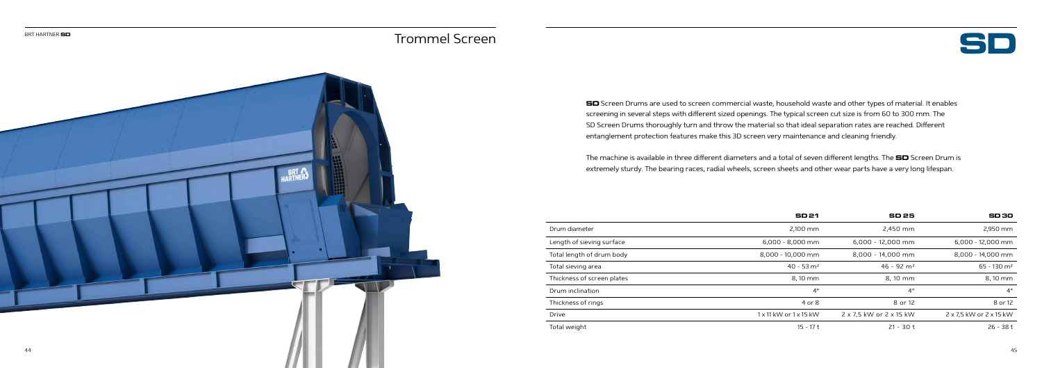

**SD** Screen Drums are used to screen commercial waste, household waste and other types of material. It enables screening in several steps with different sized openings. The typical screen cut size is from 60 to 300 mm. The SD Screen Drums thoroughly turn and throw the material so that ideal separation rates are reached. Different entanglement protection features make this 3D screen very maintenance and cleaning friendly.

The machine is available in three different diameters and a total of seven different lengths. The **SD** Screen Drum is extremely sturdy. The bearing races, radial wheels, screen sheets and other wear parts have a very long lifespan.

| Drum diameter              | 2.100 mm                             | 2.450 mm                 | 2.950 mm                |
|----------------------------|--------------------------------------|--------------------------|-------------------------|
| Length of sieving surface  | $6,000 - 8,000$ mm                   | $6,000 - 12,000$ mm      | $6,000 - 12,000$ mm     |
| Total length of drum body  | 8,000 - 10,000 mm                    | 8,000 - 14,000 mm        | 8,000 - 14,000 mm       |
| Total sieving area         | $40 - 53$ m <sup>2</sup>             | $46 - 92$ m <sup>2</sup> | 65 - 130 m <sup>2</sup> |
| Thickness of screen plates | 8, 10 mm                             | 8.10 mm                  | 8,10 mm                 |
| Drum inclination           | $4^{\circ}$                          | $4^{\circ}$              | 4 <sup>°</sup>          |
| Thickness of rings         | 4 or 8                               | 8 or 12                  | 8 or 12                 |
| Drive                      | $1 \times 11$ kW or $1 \times 15$ kW | 2 x 7,5 kW or 2 x 15 kW  | 2 x 7,5 kW or 2 x 15 kW |
| Total waight               | $15 - 17 +$                          | $21 - 20 +$              | $26 - 281$              |



|                            | <b>SD21</b>              | <b>SD 25</b>             | <b>SD30</b>               |
|----------------------------|--------------------------|--------------------------|---------------------------|
| Drum diameter              | 2,100 mm                 | 2,450 mm                 | 2,950 mm                  |
| Length of sieving surface  | 6,000 - 8,000 mm         | 6,000 - 12,000 mm        | 6,000 - 12,000 mm         |
| Total length of drum body  | 8,000 - 10,000 mm        | 8,000 - 14,000 mm        | 8,000 - 14,000 mm         |
| Total sieving area         | $40 - 53$ m <sup>2</sup> | $46 - 92$ m <sup>2</sup> | $65 - 130$ m <sup>2</sup> |
| Thickness of screen plates | 8,10 mm                  | 8, 10 mm                 | 8,10 mm                   |
| Drum inclination           | $4^{\circ}$              | $4^{\circ}$              | $4^{\circ}$               |
| Thickness of rings         | 4 or 8                   | 8 or 12                  | 8 or 12                   |
| Drive                      | 1 x 11 kW or 1 x 15 kW   | 2 x 7,5 kW or 2 x 15 kW  | 2 x 7,5 kW or 2 x 15 kW   |
| Total weight               | $15 - 17t$               | $21 - 30t$               | $26 - 38t$                |

## Trommel Screen